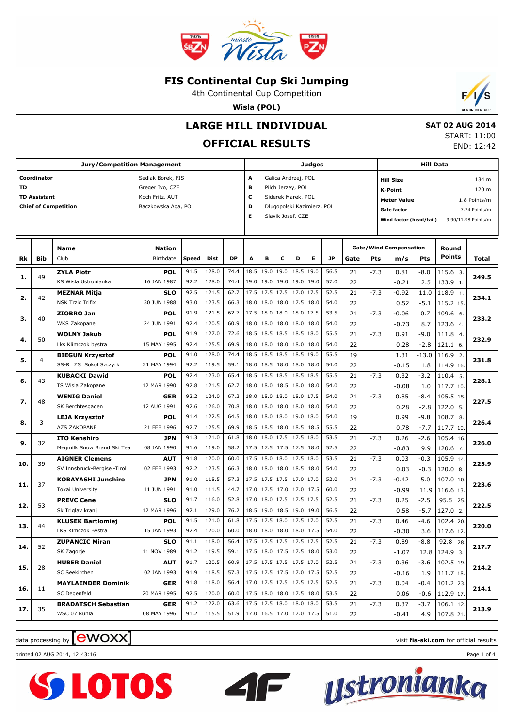

4th Continental Cup Competition

**Wisla (POL)**



# **LARGE HILL INDIVIDUAL**

## **OFFICIAL RESULTS**

 **SAT 02 AUG 2014** START: 11:00 END: 12:42

|     |                                    |                                            | <b>Judges</b>                                                                  |                                                                                                                                            |                     |              |                          |   |   |                                                      | <b>Hill Data</b> |                                                                                                                                                                                     |          |        |                               |             |                      |       |
|-----|------------------------------------|--------------------------------------------|--------------------------------------------------------------------------------|--------------------------------------------------------------------------------------------------------------------------------------------|---------------------|--------------|--------------------------|---|---|------------------------------------------------------|------------------|-------------------------------------------------------------------------------------------------------------------------------------------------------------------------------------|----------|--------|-------------------------------|-------------|----------------------|-------|
| TD  | Coordinator<br><b>TD Assistant</b> | <b>Chief of Competition</b>                | Sedlak Borek, FIS<br>Greger Ivo, CZE<br>Koch Fritz, AUT<br>Baczkowska Aga, POL | A<br>Galica Andrzej, POL<br>в<br>Pilch Jerzey, POL<br>c<br>Siderek Marek, POL<br>D<br>Dlugopolski Kazimierz, POL<br>Е<br>Slavik Josef, CZE |                     |              |                          |   |   |                                                      |                  | 134 m<br><b>Hill Size</b><br>120 m<br><b>K-Point</b><br><b>Meter Value</b><br>1.8 Points/m<br><b>Gate factor</b><br>7.24 Points/m<br>Wind factor (head/tail)<br>9.90/11.98 Points/m |          |        |                               |             |                      |       |
|     |                                    | <b>Name</b>                                | <b>Nation</b>                                                                  |                                                                                                                                            |                     |              |                          |   |   |                                                      |                  |                                                                                                                                                                                     |          |        | <b>Gate/Wind Compensation</b> |             | Round                |       |
| Rk  | Bib                                | Club                                       | Birthdate                                                                      | Speed                                                                                                                                      | Dist                | DP           | A                        | в | c | D                                                    | E.               | <b>JP</b>                                                                                                                                                                           | Gate     | Pts    | m/s                           | Pts         | Points               | Total |
| 1.  | 49                                 | <b>ZYLA Piotr</b><br>KS Wisla Ustronianka  | <b>POL</b><br>16 JAN 1987                                                      | 91.5<br>92.2                                                                                                                               | 128.0<br>128.0      | 74.4<br>74.4 |                          |   |   | 18.5 19.0 19.0 18.5 19.0<br>19.0 19.0 19.0 19.0 19.0 |                  | 56.5<br>57.0                                                                                                                                                                        | 21<br>22 | $-7.3$ | 0.81<br>$-0.21$               | -8.0<br>2.5 | 115.6 3.<br>133.9 1. | 249.5 |
|     |                                    | <b>MEZNAR Mitja</b>                        | <b>SLO</b>                                                                     | 92.5                                                                                                                                       | 121.5               | 62.7         |                          |   |   | 17.5 17.5 17.5 17.0 17.5                             |                  | 52.5                                                                                                                                                                                | 21       | $-7.3$ | $-0.92$                       | 11.0        | 118.9 1.             |       |
| 2.  | 42                                 | <b>NSK Trzic Trifix</b>                    | 30 JUN 1988                                                                    | 93.0                                                                                                                                       | 123.5               | 66.3         |                          |   |   | 18.0 18.0 18.0 17.5 18.0                             |                  | 54.0                                                                                                                                                                                | 22       |        | 0.52                          | $-5.1$      | 115.2 15.            | 234.1 |
|     |                                    | ZIOBRO Jan                                 | <b>POL</b>                                                                     | 91.9                                                                                                                                       | 121.5               | 62.7         |                          |   |   | 17.5 18.0 18.0 18.0 17.5                             |                  | 53.5                                                                                                                                                                                | 21       | $-7.3$ | $-0.06$                       | 0.7         | 109.6 6.             |       |
| з.  | 40                                 | WKS Zakopane                               | 24 JUN 1991                                                                    | 92.4                                                                                                                                       | 120.5               | 60.9         |                          |   |   | 18.0 18.0 18.0 18.0 18.0                             |                  | 54.0                                                                                                                                                                                | 22       |        | $-0.73$                       | 8.7         | 123.6 4.             | 233.2 |
|     |                                    | <b>WOLNY Jakub</b>                         | <b>POL</b>                                                                     | 91.9                                                                                                                                       | 127.0               | 72.6         |                          |   |   | 18.5 18.5 18.5 18.5 18.0                             |                  | 55.5                                                                                                                                                                                | 21       | $-7.3$ | 0.91                          | $-9.0$      | 111.8 4.             |       |
| 4.  | 50                                 | Lks Klimczok bystra                        | 15 MAY 1995                                                                    | 92.4                                                                                                                                       | 125.5               | 69.9         |                          |   |   | 18.0 18.0 18.0 18.0 18.0                             |                  | 54.0                                                                                                                                                                                | 22       |        | 0.28                          | $-2.8$      | 121.1 6.             | 232.9 |
|     |                                    | <b>BIEGUN Krzysztof</b>                    | <b>POL</b>                                                                     | 91.0                                                                                                                                       | 128.0               | 74.4         |                          |   |   | 18.5 18.5 18.5 18.5 19.0                             |                  | 55.5                                                                                                                                                                                | 19       |        | 1.31                          | $-13.0$     | 116.9 2.             |       |
| 5.  | 4                                  | SS-R LZS Sokol Szczyrk                     | 21 MAY 1994                                                                    | 92.2                                                                                                                                       | 119.5               | 59.1         |                          |   |   | 18.0 18.5 18.0 18.0 18.0                             |                  | 54.0                                                                                                                                                                                | 22       |        | $-0.15$                       | 1.8         | 114.9 16.            | 231.8 |
|     |                                    | <b>KUBACKI Dawid</b>                       | <b>POL</b>                                                                     | 92.4                                                                                                                                       | 123.0               | 65.4         |                          |   |   | 18.5 18.5 18.5 18.5 18.5                             |                  | 55.5                                                                                                                                                                                | 21       | $-7.3$ | 0.32                          | $-3.2$      | 110.4 5.             |       |
| 6.  | 43                                 | TS Wisla Zakopane                          | 12 MAR 1990                                                                    | 92.8                                                                                                                                       | 121.5               | 62.7         |                          |   |   | 18.0 18.0 18.5 18.0 18.0                             |                  | 54.0                                                                                                                                                                                | 22       |        | $-0.08$                       | 1.0         | 117.7 10.            | 228.1 |
| 7.  | 48                                 | <b>WENIG Daniel</b>                        | <b>GER</b>                                                                     | 92.2                                                                                                                                       | 124.0               | 67.2         |                          |   |   | 18.0 18.0 18.0 18.0 17.5                             |                  | 54.0                                                                                                                                                                                | 21       | $-7.3$ | 0.85                          | $-8.4$      | 105.5 15.            | 227.5 |
|     |                                    | SK Berchtesgaden                           | 12 AUG 1991                                                                    | 92.6                                                                                                                                       | 126.0               | 70.8         |                          |   |   | 18.0 18.0 18.0 18.0 18.0                             |                  | 54.0                                                                                                                                                                                | 22       |        | 0.28                          | $-2.8$      | 122.0 5.             |       |
| 8.  | 3                                  | <b>LEJA Krzysztof</b>                      | <b>POL</b>                                                                     | 91.4                                                                                                                                       | 122.5               | 64.5         |                          |   |   | 18.0 18.0 18.0 19.0 18.0                             |                  | 54.0                                                                                                                                                                                | 19       |        | 0.99                          | $-9.8$      | 108.7 8.             | 226.4 |
|     |                                    | <b>AZS ZAKOPANE</b>                        | 21 FEB 1996                                                                    | 92.7                                                                                                                                       | 125.5               | 69.9         |                          |   |   | 18.5 18.5 18.0 18.5 18.5                             |                  | 55.5                                                                                                                                                                                | 22       |        | 0.78                          | $-7.7$      | 117.7 10.            |       |
| 9.  | 32                                 | <b>ITO Kenshiro</b>                        | <b>JPN</b>                                                                     | 91.3                                                                                                                                       | 121.0               | 61.8         |                          |   |   | 18.0 18.0 17.5 17.5 18.0                             |                  | 53.5                                                                                                                                                                                | 21       | $-7.3$ | 0.26                          | $-2.6$      | 105.4 16.            | 226.0 |
|     |                                    | Megmilk Snow Brand Ski Tea                 | 08 JAN 1990                                                                    | 91.6                                                                                                                                       | 119.0               | 58.2         |                          |   |   | 17.5 17.5 17.5 17.5 18.0                             |                  | 52.5                                                                                                                                                                                | 22       |        | $-0.83$                       | 9.9         | 120.6 7.             |       |
| 10. | 39                                 | <b>AIGNER Clemens</b>                      | <b>AUT</b>                                                                     | 91.8                                                                                                                                       | 120.0               | 60.0         |                          |   |   | 17.5 18.0 18.0 17.5 18.0                             |                  | 53.5                                                                                                                                                                                | 21       | $-7.3$ | 0.03                          | $-0.3$      | 105.9 14.            | 225.9 |
|     |                                    | SV Innsbruck-Bergisel-Tirol                | 02 FEB 1993                                                                    | 92.2                                                                                                                                       | 123.5               | 66.3         |                          |   |   | 18.0 18.0 18.0 18.5 18.0                             |                  | 54.0                                                                                                                                                                                | 22       |        | 0.03                          | $-0.3$      | 120.0 8.             |       |
| 11. | 37                                 | <b>KOBAYASHI Junshiro</b>                  | <b>JPN</b>                                                                     | 91.0                                                                                                                                       | 118.5               | 57.3         |                          |   |   | 17.5 17.5 17.5 17.0 17.0                             |                  | 52.0                                                                                                                                                                                | 21       | $-7.3$ | $-0.42$                       | 5.0         | 107.0 10.            | 223.6 |
|     |                                    | <b>Tokai University</b>                    | 11 JUN 1991                                                                    | 91.0                                                                                                                                       | 111.5               | 44.7         |                          |   |   | 17.0 17.5 17.0 17.0 17.5                             |                  | 60.0                                                                                                                                                                                | 22       |        | $-0.99$                       | 11.9        | 116.6 13.            |       |
| 12. | 53                                 | <b>PREVC Cene</b>                          | <b>SLO</b>                                                                     | 91.7                                                                                                                                       | 116.0               | 52.8         |                          |   |   | 17.0 18.0 17.5 17.5 17.5                             |                  | 52.5                                                                                                                                                                                | 21       | $-7.3$ | 0.25                          | $-2.5$      | 95.5 25.             | 222.5 |
|     |                                    | Sk Triglav kranj                           | 12 MAR 1996                                                                    | 92.1                                                                                                                                       | 129.0               | 76.2         |                          |   |   | 18.5 19.0 18.5 19.0 19.0                             |                  | 56.5                                                                                                                                                                                | 22       |        | 0.58                          | $-5.7$      | 127.0 2.             |       |
| 13. | 44                                 | <b>KLUSEK Bartlomiej</b>                   | <b>POL</b>                                                                     | 91.5                                                                                                                                       | 121.0               | 61.8         |                          |   |   | 17.5 17.5 18.0 17.5 17.0                             |                  | 52.5                                                                                                                                                                                | 21       | $-7.3$ | 0.46                          | $-4.6$      | 102.4 20.            | 220.0 |
|     |                                    | LKS Klmczok Bystra                         | 15 JAN 1993                                                                    | 92.4                                                                                                                                       | 120.0               | 60.0         |                          |   |   | 18.0 18.0 18.0 18.0 17.5                             |                  | 54.0                                                                                                                                                                                | 22       |        | $-0.30$                       | 3.6         | 117.6 12.            |       |
| 14. | 52                                 | <b>ZUPANCIC Miran</b>                      | <b>SLO</b>                                                                     | 91.1                                                                                                                                       | 118.0               | 56.4         |                          |   |   | 17.5 17.5 17.5 17.5 17.5                             |                  | 52.5                                                                                                                                                                                | 21       | $-7.3$ | 0.89                          | $-8.8$      | 92.8 28.             | 217.7 |
|     |                                    | SK Zagorje                                 | 11 NOV 1989                                                                    |                                                                                                                                            | 91.2 119.5          | 59.1         | 17.5 18.0 17.5 17.5 18.0 |   |   |                                                      |                  | 53.0                                                                                                                                                                                | 22       |        | $-1.07$                       |             | $12.8$   124.9 3.    |       |
| 15. | 28                                 | <b>HUBER Daniel</b>                        | <b>AUT</b>                                                                     | 91.7                                                                                                                                       | 120.5               | 60.9         |                          |   |   | 17.5 17.5 17.5 17.5 17.0                             |                  | 52.5                                                                                                                                                                                | 21       | $-7.3$ | 0.36                          | $-3.6$      | 102.5 19.            | 214.2 |
|     |                                    | SC Seekirchen                              | 02 JAN 1993                                                                    |                                                                                                                                            | 91.9 118.5          | 57.3         | 17.5 17.5 17.5 17.0 17.5 |   |   |                                                      |                  | 52.5                                                                                                                                                                                | 22       |        | $-0.16$                       | 1.9         | 111.7 18.            |       |
| 16. | 11                                 | <b>MAYLAENDER Dominik</b><br>SC Degenfeld  | <b>GER</b><br>20 MAR 1995                                                      | 91.8                                                                                                                                       | 118.0               | 56.4         |                          |   |   | 17.0 17.5 17.5 17.5 17.5<br>17.5 18.0 18.0 17.5 18.0 |                  | 52.5<br>53.5                                                                                                                                                                        | 21       | $-7.3$ | 0.04                          | -0.4        | 101.2 23.            | 214.1 |
|     |                                    |                                            |                                                                                |                                                                                                                                            | 92.5 120.0<br>122.0 | 60.0<br>63.6 |                          |   |   | 17.5 17.5 18.0 18.0 18.0                             |                  |                                                                                                                                                                                     | 22       |        | 0.06                          | -0.6        | 112.9 17.            |       |
| 17. | 35                                 | <b>BRADATSCH Sebastian</b><br>WSC 07 Ruhla | <b>GER</b><br>08 MAY 1996                                                      | 91.2                                                                                                                                       | 91.2 115.5          | 51.9         | 17.0 16.5 17.0 17.0 17.5 |   |   |                                                      |                  | 53.5<br>51.0                                                                                                                                                                        | 21       | $-7.3$ | 0.37                          | $-3.7$      | 106.1 12.            | 213.9 |
|     |                                    |                                            |                                                                                |                                                                                                                                            |                     |              |                          |   |   |                                                      |                  |                                                                                                                                                                                     | 22       |        | $-0.41$                       | 4.9         | 107.8 21.            |       |

 $\blacksquare$ 

# data processing by **CWOXX** and  $\blacksquare$  and  $\blacksquare$  and  $\blacksquare$  and  $\blacksquare$  and  $\blacksquare$  and  $\blacksquare$  and  $\blacksquare$  and  $\blacksquare$  and  $\blacksquare$  and  $\blacksquare$  and  $\blacksquare$  and  $\blacksquare$  and  $\blacksquare$  and  $\blacksquare$  and  $\blacksquare$  and  $\blacksquare$  and  $\blacksquare$  and  $\blacks$

printed 02 AUG 2014, 12:43:16 Page 1 of 4



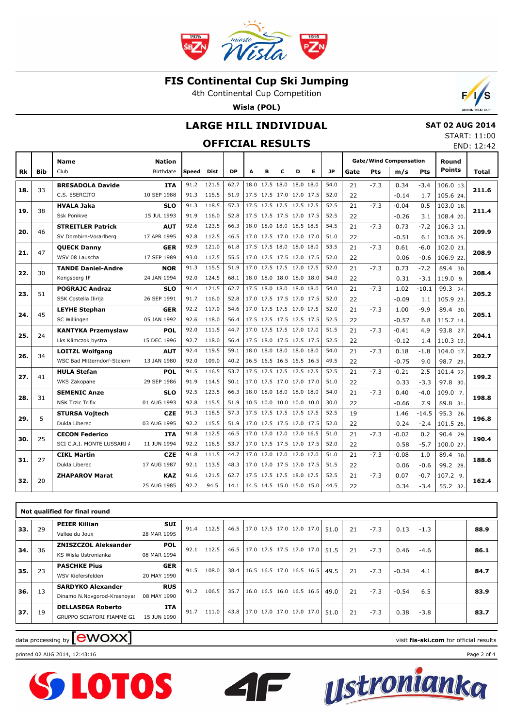

4th Continental Cup Competition

**Wisla (POL)**



### **LARGE HILL INDIVIDUAL**

#### **OFFICIAL RESULTS**

|  | <b>SAT 02 AUG 2014</b> |  |
|--|------------------------|--|
|  | STAPT 11.00            |  |

START: 11:00 END: 12:42

|     |            | <b>Name</b>                 | <b>Nation</b> |       |       |           |                          |   |   |                          |   |           |      |            | <b>Gate/Wind Compensation</b> |            | Round         |       |
|-----|------------|-----------------------------|---------------|-------|-------|-----------|--------------------------|---|---|--------------------------|---|-----------|------|------------|-------------------------------|------------|---------------|-------|
| Rk  | <b>Bib</b> | Club                        | Birthdate     | Speed | Dist  | <b>DP</b> | A                        | в | c | D                        | Е | <b>JP</b> | Gate | <b>Pts</b> | m/s                           | <b>Pts</b> | <b>Points</b> | Total |
|     |            | <b>BRESADOLA Davide</b>     | <b>ITA</b>    | 91.2  | 121.5 | 62.7      |                          |   |   | 18.0 17.5 18.0 18.0 18.0 |   | 54.0      | 21   | $-7.3$     | 0.34                          | $-3.4$     | 106.0 13.     |       |
| 18. | 33         | C.S. ESERCITO               | 10 SEP 1988   | 91.3  | 115.5 | 51.9      | 17.5 17.5 17.0 17.0 17.5 |   |   |                          |   | 52.0      | 22   |            | $-0.14$                       | 1.7        | 105.6 24.     | 211.6 |
| 19. | 38         | <b>HVALA Jaka</b>           | <b>SLO</b>    | 91.3  | 118.5 | 57.3      |                          |   |   | 17.5 17.5 17.5 17.5 17.5 |   | 52.5      | 21   | $-7.3$     | $-0.04$                       | 0.5        | 103.0 18.     | 211.4 |
|     |            | Ssk Ponikve                 | 15 JUL 1993   | 91.9  | 116.0 | 52.8      | 17.5 17.5 17.5 17.0 17.5 |   |   |                          |   | 52.5      | 22   |            | $-0.26$                       | 3.1        | 108.4 20.     |       |
| 20. | 46         | <b>STREITLER Patrick</b>    | <b>AUT</b>    | 92.6  | 123.5 | 66.3      |                          |   |   | 18.0 18.0 18.0 18.5 18.5 |   | 54.5      | 21   | $-7.3$     | 0.73                          | $-7.2$     | 106.3 11.     | 209.9 |
|     |            | SV Dornbirn-Vorarlberg      | 17 APR 1995   | 92.8  | 112.5 | 46.5      | 17.0 17.5 17.0 17.0 17.0 |   |   |                          |   | 51.0      | 22   |            | $-0.51$                       | 6.1        | 103.6 25.     |       |
| 21. | 47         | <b>QUECK Danny</b>          | <b>GER</b>    | 92.9  | 121.0 | 61.8      | 17.5 17.5 18.0 18.0 18.0 |   |   |                          |   | 53.5      | 21   | $-7.3$     | 0.61                          | $-6.0$     | 102.0 21.     | 208.9 |
|     |            | WSV 08 Lauscha              | 17 SEP 1989   | 93.0  | 117.5 | 55.5      | 17.0 17.5 17.5 17.0 17.5 |   |   |                          |   | 52.0      | 22   |            | 0.06                          | $-0.6$     | 106.9 22.     |       |
| 22. | 30         | <b>TANDE Daniel-Andre</b>   | <b>NOR</b>    | 91.3  | 115.5 | 51.9      |                          |   |   | 17.0 17.5 17.5 17.0 17.5 |   | 52.0      | 21   | $-7.3$     | 0.73                          | $-7.2$     | 89.4 30.      | 208.4 |
|     |            | Kongsberg IF                | 24 JAN 1994   | 92.0  | 124.5 | 68.1      |                          |   |   | 18.0 18.0 18.0 18.0 18.0 |   | 54.0      | 22   |            | 0.31                          | $-3.1$     | 119.0 9.      |       |
| 23. | 51         | <b>POGRAJC Andraz</b>       | <b>SLO</b>    | 91.4  | 121.5 | 62.7      | 17.5 18.0 18.0 18.0 18.0 |   |   |                          |   | 54.0      | 21   | $-7.3$     | 1.02                          | $-10.1$    | 99.3 24.      | 205.2 |
|     |            | SSK Costella Ilirija        | 26 SEP 1991   | 91.7  | 116.0 | 52.8      |                          |   |   | 17.0 17.5 17.5 17.0 17.5 |   | 52.0      | 22   |            | $-0.09$                       | 1.1        | 105.9 23.     |       |
| 24. | 45         | <b>LEYHE Stephan</b>        | <b>GER</b>    | 92.2  | 117.0 | 54.6      | 17.0 17.5 17.5 17.0 17.5 |   |   |                          |   | 52.0      | 21   | $-7.3$     | 1.00                          | $-9.9$     | 89.4 30.      | 205.1 |
|     |            | SC Willingen                | 05 JAN 1992   | 92.6  | 118.0 | 56.4      |                          |   |   | 17.5 17.5 17.5 17.5 17.5 |   | 52.5      | 22   |            | $-0.57$                       | 6.8        | 115.7 14.     |       |
| 25. | 24         | <b>KANTYKA Przemyslaw</b>   | <b>POL</b>    | 92.0  | 111.5 | 44.7      |                          |   |   | 17.0 17.5 17.5 17.0 17.0 |   | 51.5      | 21   | $-7.3$     | $-0.41$                       | 4.9        | 93.8 27.      | 204.1 |
|     |            | Lks Klimczok bystra         | 15 DEC 1996   | 92.7  | 118.0 | 56.4      | 17.5 18.0 17.5 17.5 17.5 |   |   |                          |   | 52.5      | 22   |            | $-0.12$                       | 1.4        | 110.3 19.     |       |
| 26. | 34         | <b>LOITZL Wolfgang</b>      | <b>AUT</b>    | 92.4  | 119.5 | 59.1      |                          |   |   | 18.0 18.0 18.0 18.0 18.0 |   | 54.0      | 21   | $-7.3$     | 0.18                          | $-1.8$     | 104.0 17.     | 202.7 |
|     |            | WSC Bad Mitterndorf-Steiern | 13 JAN 1980   | 92.0  | 109.0 | 40.2      | 16.5 16.5 16.5 15.5 16.5 |   |   |                          |   | 49.5      | 22   |            | $-0.75$                       | 9.0        | 98.7 29.      |       |
| 27. | 41         | <b>HULA Stefan</b>          | <b>POL</b>    | 91.5  | 116.5 | 53.7      |                          |   |   | 17.5 17.5 17.5 17.5 17.5 |   | 52.5      | 21   | $-7.3$     | $-0.21$                       | 2.5        | 101.4 22.     | 199.2 |
|     |            | WKS Zakopane                | 29 SEP 1986   | 91.9  | 114.5 | 50.1      | 17.0 17.5 17.0 17.0 17.0 |   |   |                          |   | 51.0      | 22   |            | 0.33                          | $-3.3$     | 97.8 30.      |       |
| 28. | 31         | <b>SEMENIC Anze</b>         | <b>SLO</b>    | 92.5  | 123.5 | 66.3      | 18.0                     |   |   | 18.0 18.0 18.0 18.0      |   | 54.0      | 21   | $-7.3$     | 0.40                          | $-4.0$     | 109.0 7.      | 198.8 |
|     |            | <b>NSK Trzic Trifix</b>     | 01 AUG 1993   | 92.8  | 115.5 | 51.9      |                          |   |   | 10.5 10.0 10.0 10.0 10.0 |   | 30.0      | 22   |            | $-0.66$                       | 7.9        | 89.8 31.      |       |
| 29. | 5          | <b>STURSA Vojtech</b>       | <b>CZE</b>    | 91.3  | 118.5 | 57.3      |                          |   |   | 17.5 17.5 17.5 17.5 17.5 |   | 52.5      | 19   |            | 1.46                          | $-14.5$    | 95.3 26.      | 196.8 |
|     |            | Dukla Liberec               | 03 AUG 1995   | 92.2  | 115.5 | 51.9      |                          |   |   | 17.0 17.5 17.5 17.0 17.5 |   | 52.0      | 22   |            | 0.24                          | $-2.4$     | 101.5 26.     |       |
| 30. | 25         | <b>CECON Federico</b>       | ITA           | 91.8  | 112.5 | 46.5      | 17.0 17.0 17.0 17.0 16.5 |   |   |                          |   | 51.0      | 21   | $-7.3$     | $-0.02$                       | 0.2        | 90.4 29.      | 190.4 |
|     |            | SCI C.A.I. MONTE LUSSARI /  | 11 JUN 1994   | 92.2  | 116.5 | 53.7      |                          |   |   | 17.0 17.5 17.5 17.0 17.5 |   | 52.0      | 22   |            | 0.58                          | $-5.7$     | 100.0 27.     |       |
| 31. | 27         | <b>CIKL Martin</b>          | <b>CZE</b>    | 91.8  | 111.5 | 44.7      |                          |   |   | 17.0 17.0 17.0 17.0 17.0 |   | 51.0      | 21   | $-7.3$     | $-0.08$                       | 1.0        | 89.4 30.      | 188.6 |
|     |            | Dukla Liberec               | 17 AUG 1987   | 92.1  | 113.5 | 48.3      | 17.0 17.0 17.5 17.0 17.5 |   |   |                          |   | 51.5      | 22   |            | 0.06                          | $-0.6$     | 99.2 28.      |       |
| 32. | 20         | <b>ZHAPAROV Marat</b>       | <b>KAZ</b>    | 91.6  | 121.5 | 62.7      |                          |   |   | 17.5 17.5 17.5 18.0 17.5 |   | 52.5      | 21   | $-7.3$     | 0.07                          | $-0.7$     | $107.2$ 9.    | 162.4 |
|     |            |                             | 25 AUG 1985   | 92.2  | 94.5  | 14.1      | 14.5 14.5 15.0 15.0 15.0 |   |   |                          |   | 44.5      | 22   |            | 0.34                          | $-3.4$     | 55.2 32.      |       |
|     |            |                             |               |       |       |           |                          |   |   |                          |   |           |      |            |                               |            |               |       |

|     | Not qualified for final round |                                                         |                           |       |       |                                 |                                          |  |  |  |      |      |        |        |         |        |      |
|-----|-------------------------------|---------------------------------------------------------|---------------------------|-------|-------|---------------------------------|------------------------------------------|--|--|--|------|------|--------|--------|---------|--------|------|
| 33. | 29                            | <b>PEIER Killian</b><br>Vallee du Joux                  | <b>SUI</b><br>28 MAR 1995 | 91.4  | 112.5 | 46.5                            | $17.0$ 17.5 17.0 17.0 17.0 51.0          |  |  |  |      |      | 21     | $-7.3$ | 0.13    | $-1.3$ | 88.9 |
| 34. | 36                            | <b>ZNISZCZOL Aleksander</b><br>KS Wisla Ustronianka     | 92.1                      | 112.5 |       | 46.5   17.0 17.5 17.5 17.0 17.0 |                                          |  |  |  | 51.5 | 21   | $-7.3$ | 0.46   | $-4.6$  | 86.1   |      |
| 35. | 23                            | <b>PASCHKE Pius</b><br>WSV Kiefersfelden                | <b>GER</b><br>20 MAY 1990 | 91.5  | 108.0 | 38.4                            | $16.5$ 16.5 17.0 16.5 16.5               |  |  |  |      | 49.5 | 21     | $-7.3$ | $-0.34$ | 4.1    | 84.7 |
| 36. | 13                            | <b>SARDYKO Alexander</b><br>Dinamo N.Novgorod-Krasnoyar | <b>RUS</b><br>08 MAY 1990 | 91.2  | 106.5 | 35.7                            | $16.0$ 16.5 16.0 16.5 16.5               |  |  |  |      | 49.0 | 21     | $-7.3$ | $-0.54$ | 6.5    | 83.9 |
| 37. | 19                            | <b>DELLASEGA Roberto</b><br>GRUPPO SCIATORI FIAMME GI.  | <b>ITA</b><br>15 JUN 1990 | 91.7  | 111.0 | 43.8                            | $\vert$ 17.0 17.0 17.0 17.0 17.0 $\vert$ |  |  |  |      | 51.0 | 21     | $-7.3$ | 0.38    | $-3.8$ | 83.7 |

 $\blacksquare$ 

# data processing by **CWOXX** and  $\blacksquare$  and  $\blacksquare$  and  $\blacksquare$  and  $\blacksquare$  and  $\blacksquare$  and  $\blacksquare$  and  $\blacksquare$  and  $\blacksquare$  and  $\blacksquare$  and  $\blacksquare$  and  $\blacksquare$  and  $\blacksquare$  and  $\blacksquare$  and  $\blacksquare$  and  $\blacksquare$  and  $\blacksquare$  and  $\blacksquare$  and  $\blacks$

printed 02 AUG 2014, 12:43:16 Page 2 of 4



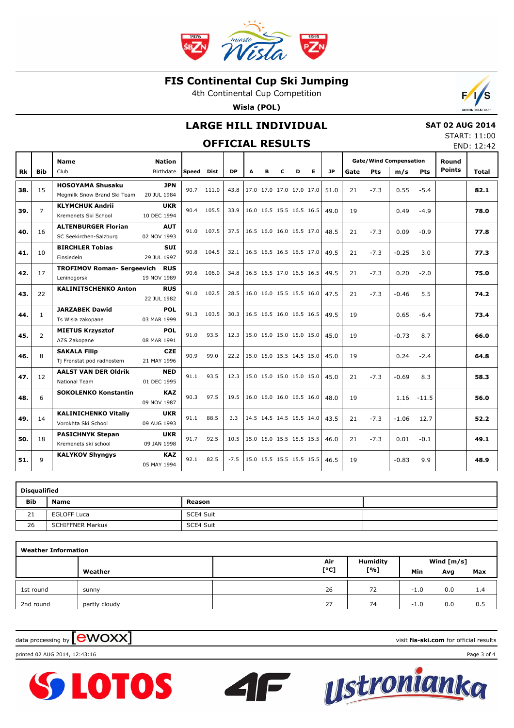

4th Continental Cup Competition

**Wisla (POL)**



### **LARGE HILL INDIVIDUAL**

### **OFFICIAL RESULTS**

 **SAT 02 AUG 2014** START: 11:00

| <b>OFFICIAL RESULTS</b> |                |                                                        |                            |       |       |                          |                          |   |   |   |      |           |        |        | END: 12:42                           |         |                        |              |
|-------------------------|----------------|--------------------------------------------------------|----------------------------|-------|-------|--------------------------|--------------------------|---|---|---|------|-----------|--------|--------|--------------------------------------|---------|------------------------|--------------|
| <b>Rk</b>               | <b>Bib</b>     | <b>Name</b><br>Club                                    | <b>Nation</b><br>Birthdate | Speed | Dist  | <b>DP</b>                | A                        | в | c | D | Е    | <b>JP</b> | Gate   | Pts    | <b>Gate/Wind Compensation</b><br>m/s | Pts     | Round<br><b>Points</b> | <b>Total</b> |
| 38.                     | 15             | <b>HOSOYAMA Shusaku</b><br>Megmilk Snow Brand Ski Team | <b>JPN</b><br>20 JUL 1984  | 90.7  | 111.0 | 43.8                     | 17.0 17.0 17.0 17.0 17.0 |   |   |   |      | 51.0      | 21     | $-7.3$ | 0.55                                 | $-5.4$  |                        | 82.1         |
| 39.                     | $\overline{7}$ | <b>KLYMCHUK Andrii</b><br>Kremenets Ski School         | <b>UKR</b><br>10 DEC 1994  | 90.4  | 105.5 | 33.9                     | 16.0 16.5 15.5 16.5 16.5 |   |   |   |      | 49.0      | 19     |        | 0.49                                 | $-4.9$  |                        | 78.0         |
| 40.                     | 16             | <b>ALTENBURGER Florian</b><br>SC Seekirchen-Salzburg   | <b>AUT</b><br>02 NOV 1993  | 91.0  | 107.5 | 37.5                     | 16.5 16.0 16.0 15.5 17.0 |   |   |   |      | 48.5      | 21     | $-7.3$ | 0.09                                 | $-0.9$  |                        | 77.8         |
| 41.                     | 10             | <b>BIRCHLER Tobias</b><br>Einsiedeln                   | <b>SUI</b><br>29 JUL 1997  | 90.8  | 104.5 | 32.1                     | 16.5 16.5 16.5 16.5 17.0 |   |   |   |      | 49.5      | 21     | $-7.3$ | $-0.25$                              | 3.0     |                        | 77.3         |
| 42.                     | 17             | <b>TROFIMOV Roman- Sergeevich</b><br>Leninogorsk       | 90.6                       | 106.0 | 34.8  | 16.5 16.5 17.0 16.5 16.5 |                          |   |   |   | 49.5 | 21        | $-7.3$ | 0.20   | $-2.0$                               |         | 75.0                   |              |
| 43.                     | 22             | <b>KALINITSCHENKO Anton</b>                            | <b>RUS</b><br>22 JUL 1982  | 91.0  | 102.5 | 28.5                     | 16.0 16.0 15.5 15.5 16.0 |   |   |   |      | 47.5      | 21     | $-7.3$ | $-0.46$                              | 5.5     |                        | 74.2         |
| 44.                     | $\mathbf{1}$   | <b>JARZABEK Dawid</b><br>Ts Wisla zakopane             | <b>POL</b><br>03 MAR 1999  | 91.3  | 103.5 | 30.3                     | 16.5 16.5 16.0 16.5 16.5 |   |   |   |      | 49.5      | 19     |        | 0.65                                 | $-6.4$  |                        | 73.4         |
| 45.                     | $\overline{2}$ | <b>MIETUS Krzysztof</b><br>AZS Zakopane                | <b>POL</b><br>08 MAR 1991  | 91.0  | 93.5  | 12.3                     | 15.0 15.0 15.0 15.0 15.0 |   |   |   |      | 45.0      | 19     |        | $-0.73$                              | 8.7     |                        | 66.0         |
| 46.                     | 8              | <b>SAKALA Filip</b><br>Tj Frenstat pod radhostem       | <b>CZE</b><br>21 MAY 1996  | 90.9  | 99.0  | 22.2                     | 15.0 15.0 15.5 14.5 15.0 |   |   |   |      | 45.0      | 19     |        | 0.24                                 | $-2.4$  |                        | 64.8         |
| 47.                     | 12             | <b>AALST VAN DER Oldrik</b><br><b>National Team</b>    | <b>NED</b><br>01 DEC 1995  | 91.1  | 93.5  | 12.3                     | 15.0 15.0 15.0 15.0 15.0 |   |   |   |      | 45.0      | 21     | $-7.3$ | $-0.69$                              | 8.3     |                        | 58.3         |
| 48.                     | 6              | <b>SOKOLENKO Konstantin</b>                            | <b>KAZ</b><br>09 NOV 1987  | 90.3  | 97.5  | 19.5                     | 16.0 16.0 16.0 16.5 16.0 |   |   |   |      | 48.0      | 19     |        | 1.16                                 | $-11.5$ |                        | 56.0         |
| 49.                     | 14             | <b>KALINICHENKO Vitaliv</b><br>Vorokhta Ski School     | <b>UKR</b><br>09 AUG 1993  | 91.1  | 88.5  | 3.3                      | 14.5 14.5 14.5 15.5 14.0 |   |   |   |      | 43.5      | 21     | $-7.3$ | $-1.06$                              | 12.7    |                        | 52.2         |
| 50.                     | 18             | <b>PASICHNYK Stepan</b><br>Kremenets ski school        | <b>UKR</b><br>09 JAN 1998  | 91.7  | 92.5  | 10.5                     | 15.0 15.0 15.5 15.5 15.5 |   |   |   |      | 46.0      | 21     | $-7.3$ | 0.01                                 | $-0.1$  |                        | 49.1         |
| 51.                     | 9              | <b>KALYKOV Shyngys</b>                                 | <b>KAZ</b><br>05 MAY 1994  | 92.1  | 82.5  | $-7.5$                   | 15.0 15.5 15.5 15.5 15.5 |   |   |   |      | 46.5      | 19     |        | $-0.83$                              | 9.9     |                        | 48.9         |

| Disqualified |                         |           |  |  |  |  |  |  |  |  |  |  |  |
|--------------|-------------------------|-----------|--|--|--|--|--|--|--|--|--|--|--|
| <b>Bib</b>   | <b>Name</b>             | Reason    |  |  |  |  |  |  |  |  |  |  |  |
| 21           | <b>EGLOFF Luca</b>      | SCE4 Suit |  |  |  |  |  |  |  |  |  |  |  |
| 26           | <b>SCHIFFNER Markus</b> | SCE4 Suit |  |  |  |  |  |  |  |  |  |  |  |

| <b>Weather Information</b> |               |      |          |            |     |     |  |  |  |  |  |  |
|----------------------------|---------------|------|----------|------------|-----|-----|--|--|--|--|--|--|
|                            |               | Air  | Humidity | Wind [m/s] |     |     |  |  |  |  |  |  |
|                            | Weather       | [°C] | [%]      | Min        | Avg | Max |  |  |  |  |  |  |
| 1st round                  | sunny         | 26   | 72       | $-1.0$     | 0.0 | 1.4 |  |  |  |  |  |  |
| 2nd round                  | partly cloudy | 27   | 74       | $-1.0$     | 0.0 | 0.5 |  |  |  |  |  |  |

**SS LOTOS** 

printed 02 AUG 2014, 12:43:16 Page 3 of 4



data processing by **CWOXX** and  $\blacksquare$  and  $\blacksquare$  and  $\blacksquare$  and  $\blacksquare$  and  $\blacksquare$  and  $\blacksquare$  and  $\blacksquare$  and  $\blacksquare$  and  $\blacksquare$  and  $\blacksquare$  and  $\blacksquare$  and  $\blacksquare$  and  $\blacksquare$  and  $\blacksquare$  and  $\blacksquare$  and  $\blacksquare$  and  $\blacksquare$  and  $\blacks$